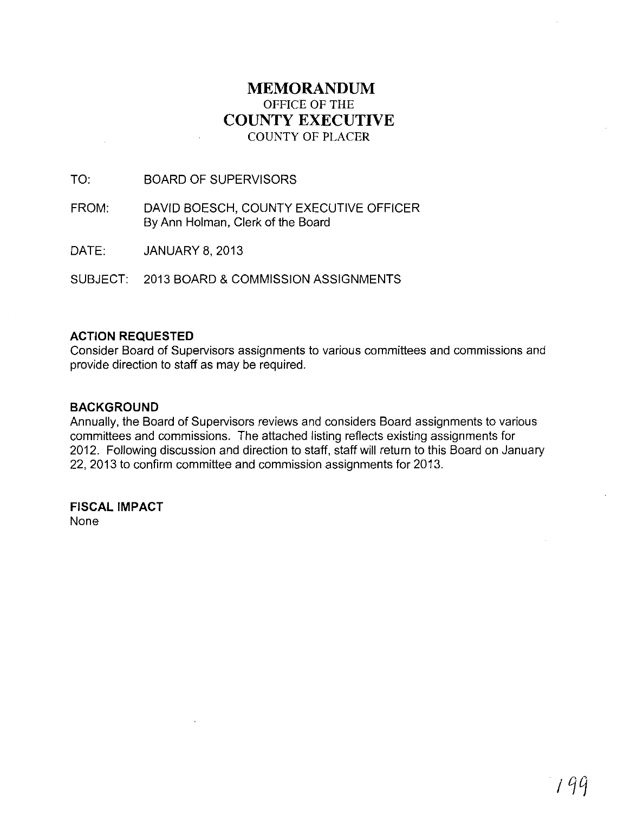# **MEMORANDUM**  OFFICE OF THE **COUNTY EXECUTIVE**  COUNTY OF PLACER

# TO: BOARD OF SUPERVISORS

- FROM: DAVID BOESCH, COUNTY EXECUTIVE OFFICER By Ann Holman, Clerk of the Board
- DATE: JANUARY 8,2013

SUBJECT: 2013 BOARD & COMMISSION ASSIGNMENTS

# **ACTION REQUESTED**

Consider Board of Supervisors assignments to various committees and commissions and provide direction to staff as may be required.

# **BACKGROUND**

Annually, the Board of Supervisors reviews and considers Board assignments to various committees and commissions. The attached listing reflects existing assignments for 2012. Following discussion and direction to staff, staff will return to this Board on January 22, 2013 to confirm committee and commission assignments for 2013.

**FISCAL IMPACT**  None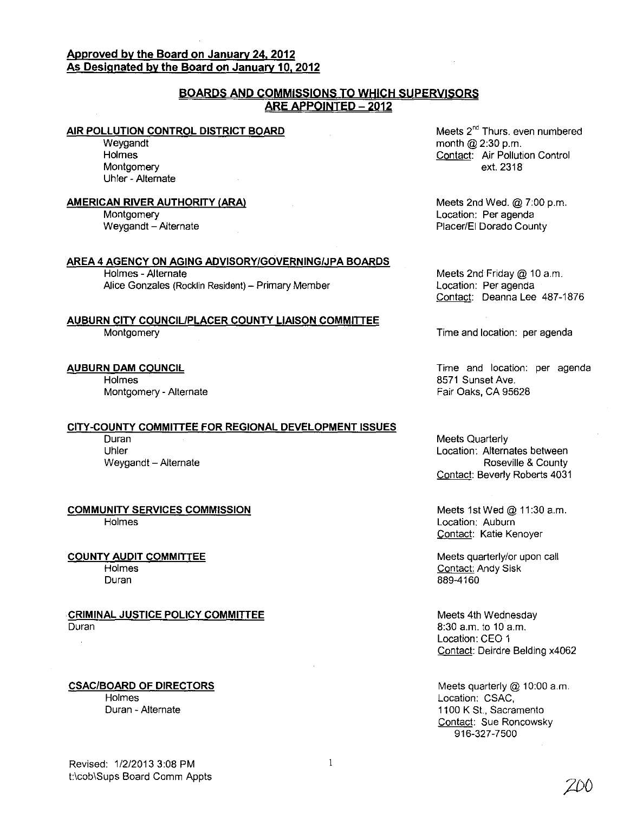# **Approved by the Board on January 24.2012 As Designated by the Board on January 10. 2012**

# **BOARDS AND COMMISSIONS TO WHICH SUPERVISORS ARE APPOINTED - 2012**

### **AIR POLLUTION CONTROL DISTRICT BOARD**

**Weygandt** Holmes Montgomery Uhler - Alternate

#### **AMERICAN RIVER AUTHORITY (ARA)**

Montgomery Weygandt - Alternate

#### **AREA 4 AGENCY ON AGING ADVISORY/GOVERNING/JPA BOARDS**

Holmes - Alternate Alice Gonzales (Rocklin Resident) - Primary Member

### **AUBURN CITY COUNCIL/PLACER COUNTY LIAISON COMMITIEE**  Montgomery

#### **AUBURN DAM COUNCIL**

**Holmes** Montgomery - Alternate

# **CITY-COUNTY COMMITIEE FOR REGIONAL DEVELOPMENT ISSUES**

Duran Uhler Weygandt - Alternate

**COMMUNITY SERVICES COMMISSION**  Holmes

**COUNTY AUDIT COMMITIEE Holmes** 

Duran

**CRIMINAL JUSTICE POLICY COMMITIEE**  Duran

**CSAC/BOARD OF DIRECTORS Holmes** 

Duran - Alternate

Meets 2<sup>nd</sup> Thurs. even numbered month @ 2:30 p.m. Contact: Air Pollution Control ext. 2318

Meets 2nd Wed. @ 7:00 p.m. Location: Per agenda Placer/EI Dorado County

Meets 2nd Friday @ 10 a.m. Location: Per agenda Contact: Deanna Lee 487-1876

Time and location: per agenda

Time and location: per agenda 8571 Sunset Ave. Fair Oaks, CA 95628

Meets Quarterly Location: Alternates between Roseville & County Contact: Beverly Roberts 4031

Meets 1st Wed @ 11:30 a.m. Location: Auburn Contact: Katie Kenoyer

Meets quarterly/or upon call Contact: Andy Sisk 889-4160

Meets 4th Wednesday 8:30 a.m. to 10 a.m. Location: CEO 1 Contact: Deirdre Belding x4062

Meets quarterly @ 10:00 a.m. Location: CSAC, 1100 K St., Sacramento Contact: Sue Roncowsky 916-327-7500

Revised: 1/2/20133:08 PM t:\cob\Sups Board Comm Appts

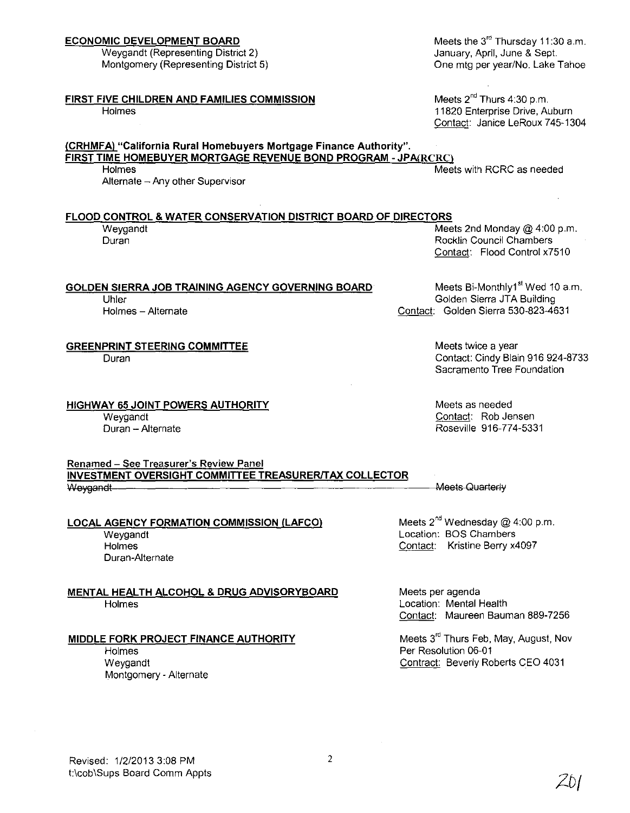# **ECONOMIC DEVELOPMENT BOARD**

Weygandt (Representing District 2) Montgomery (Representing District 5)

# **FIRST FIVE CHILDREN AND FAMILIES COMMISSION**

Holmes

# **(CRHMFA) "California Rural Homebuyers Mortgage Finance Authority". FIRST TIME HOMEBUYER MORTGAGE REVENUE BOND PROGRAM - JPA(RCRCl**

Holmes **Meets with RCRC** as needed

Alternate - Any other Supervisor

# **FLOOD CONTROL & WATER CONSERVATION DISTRICT BOARD OF DIRECTORS**

#### Weygandt **Meets 2nd Monday @ 4:00 p.m.** Duran Rocklin Council Chambers **Council Chambers Rocklin** Council Chambers **Council** Chambers **Council** Chambers **Council** Chambers **Council** Chambers **Council** Chambers **Council** Chambers **Council** Chambers **Council** Ch

### **GOLDEN SIERRA JOB TRAINING AGENCY GOVERNING BOARD**

Uhler Holmes - Alternate

# **GREENPRINT STEERING COMMITTEE**

Duran

**HIGHWAY 65 JOINT POWERS AUTHORITY**  Weygandt Duran - Alternate

Contact: Flood Control x7510

Meets Bi-Monthly1<sup>st</sup> Wed 10 a.m. Golden Sierra JTA Building Contact: Golden Sierra 530-823-4631

> Meets twice a year Contact: Cindy Blain 916 924-8733 Sacramento Tree Foundation

Meets as needed Contact: Rob Jensen Roseville 916-774-5331

Renamed - See Treasurer's Review Panel **INVESTMENT OVERSIGHT COMMITTEE TREASURER/TAX COLLECTOR** Weygandt-

#### **LOCAL AGENCY FORMATION COMMISSION (LAFCO)**  Weygandt Holmes Duran-Alternate

**MENTAL HEALTH ALCOHOL & DRUG ADVISORYBOARD**  Holmes

# **MIDDLE FORK PROJECT FINANCE AUTHORITY**

Holmes Weygandt Montgomery - Alternate Meets  $2^{nd}$  Wednesday @ 4:00 p.m. Location: BOS Chambers Contact: Kristine Berry x4097

Meets per agenda Location: Mental Health Contact: Maureen Bauman 889-7256

Meets 3<sup>rd</sup> Thurs Feb, May, August, Nov Per Resolution 06-01 Contract: Beverly Roberts CEO 4031

Meets the  $3^{rd}$  Thursday 11:30 a.m. January, April, June & Sept. One mtg per year/No. Lake Tahoe

Meets 2<sup>nd</sup> Thurs 4:30 p.m. 11820 Enterprise Drive, Auburn Contact: Janice LeRoux 745-1304

Meets Quarterly

*2b/*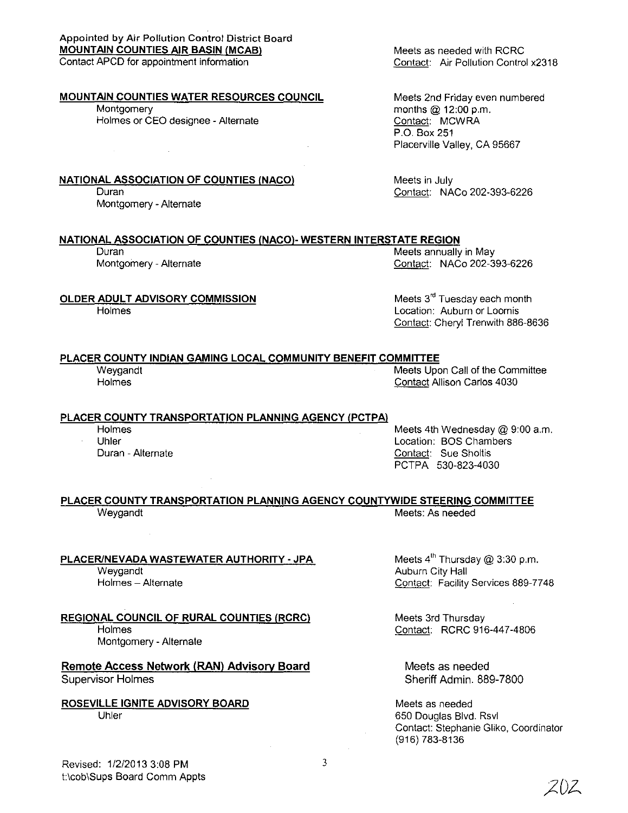Appointed by Air Pollution Control District Board MOUNTAIN COUNTIES AIR BASIN (MCAB) Contact APCD for appointment information

#### MOUNTAIN COUNTIES WATER RESOURCES COUNCIL

Montgomery Holmes or CEO designee - Alternate

NATIONAL ASSOCIATION OF COUNTIES (NACO)

Duran Montgomery - Alternate Meets as needed with RCRC Contact: Air Pollution Control x2318

Meets 2nd Friday even numbered months @ 12:00 p.m. Contact: MCWRA P.O. Box 251 Placerville Valley, CA 95667

Meets in July Contact: NACo 202-393-6226

#### NATIONAL ASSOCIATION OF COUNTIES (NACO)- WESTERN INTERSTATE REGION

Duran Montgomery - Alternate Meets annually in May Contact: NACo 202-393-6226

OLDER ADULT ADVISORY COMMISSION Meets 3<sup>rd</sup> Tuesday each month Location: Auburn or Loomis

# PLACER COUNTY INDIAN GAMING LOCAL COMMUNITY BENEFIT COMMITTEE

**Holmes** 

Weygandt Meets Upon Call of the Committee Holmes Contact Allison Carlos 4030

Contact: Cheryl Trenwith 886-8636

#### PLACER COUNTY TRANSPORTATION PLANNING AGENCY (PCTPA)

**Holmes** Uhler

Duran - Alternate

Meets 4th Wednesday @ 9:00 a.m. Location: BOS Chambers Contact: Sue Sholtis PCTPA 530-823-4030

#### PLACER COUNTY TRANSPORTATION PLANNING AGENCY COUNTYWIDE STEERING COMMITTEE Weygandt **Meets: As needed** Meets: As needed

PLACER/NEVADA WASTEWATER AUTHORITY - JPA Weygandt Holmes - Alternate

REGIONAL COUNCIL OF RURAL COUNTIES (RCRC) Holmes Montgomery - Alternate

Remote Access Network (RAN) Advisory Board Supervisor Holmes

ROSEVILLE IGNITE ADVISORY BOARD Uhler

Meets  $4^{\text{th}}$  Thursday @ 3:30 p.m. Auburn City Hall Contact: Facility Services 889-7748

Meets 3rd Thursday Contact: RCRC 916-447-4806

Meets as needed Sheriff Admin. 889-7800

Meets as needed 650 Douglas Blvd. Rsvl Contact: Stephanie Gliko, Coordinator (916) 783-8136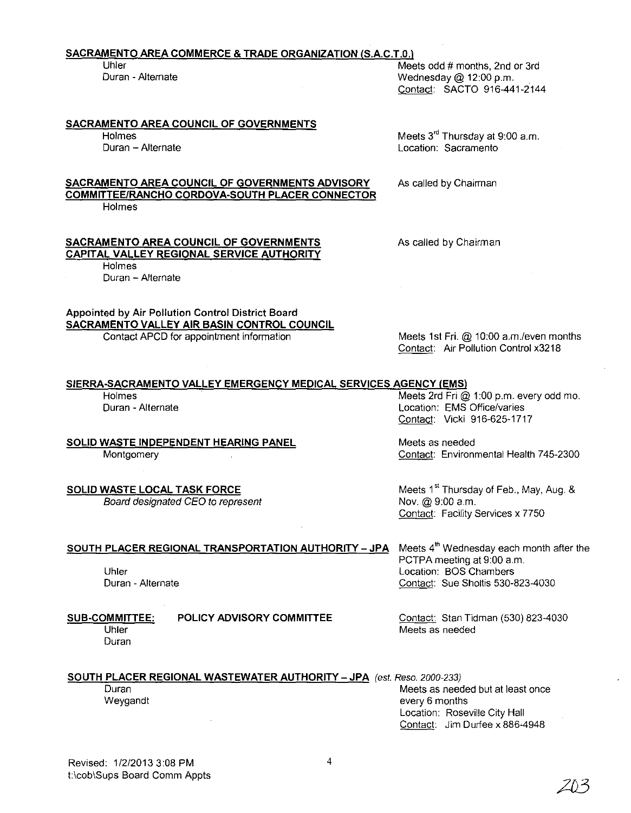# **SACRAMENTO AREA COMMERCE & TRADE ORGANIZATION (S.A.C.T.O.)**

#### **SACRAMENTO AREA COUNCIL OF GOVERNMENTS**

Holmes Duran - Alternate

**Holmes** 

Holmes

Duran - Alternate

Meets 3<sup>rd</sup> Thursday at 9:00 a.m. Location: Sacramento

Contact: SACTO 916-441-2144

Wednesday  $@$  12:00 p.m.

As called by Chairman

As called by Chairman

Appointed by Air Pollution Control District Board **SACRAMENTO VALLEY AIR BASIN CONTROL COUNCIL** 

**SACRAMENTO AREA COUNCIL OF GOVERNMENTS CAPITAL VALLEY REGIONAL SERVICE AUTHORITY** 

Contact APCD for appointment information

Meets 1st **Fri.** @ 10:00 a.m.leven months Contact: Air Pollution Control x3218

# **SIERRA-SACRAMENTO VALLEY EMERGENCY MEDICAL SERVICES AGENCY (EMS)**<br>Holmes Meets 2rd Fri

**SOLID WASTE INDEPENDENT HEARING PANEL MEETS Meets as needed** 

Board designated CEO to represent

Meets 2rd Fri  $@$  1:00 p.m. every odd mo. Contact: Vicki 916-625-1717

Montgomery Contact: Environmental Health 745-2300

**SOLID WASTE LOCAL TASK FORCE** Meets 1<sup>st</sup> Thursday of Feb., May, Aug. & Board designated CEO to represent Meets 1 Mov. @ 9:00 a.m. Contact: Facility Services x 7750

**SOUTH PLACER REGIONAL TRANSPORTATION AUTHORITY - JPA** Meets 4<sup>th</sup> Wednesday each month after the PCTPA meeting at 9:00 a.m. Uhler Location: BOS Chambers Duran - Alternate Contact: Sue Sholtis 530-823-4030

> **POLICY ADVISORY COMMITTEE** Contact: Stan Tidman (530) 823-4030 Meets as needed

**SOUTH PLACER REGIONAL WASTEWATER AUTHORITY - JPA** (est. Reso. 2000-233) Duran Meets as needed but at least once the matter of the Meets as needed but at least once Weygandt **Exercise 2018 every 6 months** 

Location: Roseville City Hall Contact: Jim Durfee x 886-4948

4

Duran - Alternate Location: EMS Office/varies

Uhler Meets odd # months, 2nd or 3rd<br>Duran - Alternate Meets of Meets of Alternate Mednesday @ 12:00 p.m.

**SACRAMENTO AREA COUNCIL OF GOVERNMENTS ADVISORY COMMITTEE/RANCHO CORDOVA-SOUTH PLACER CONNECTOR** 

Uhler Duran

**SUB-COMMITTEE:**